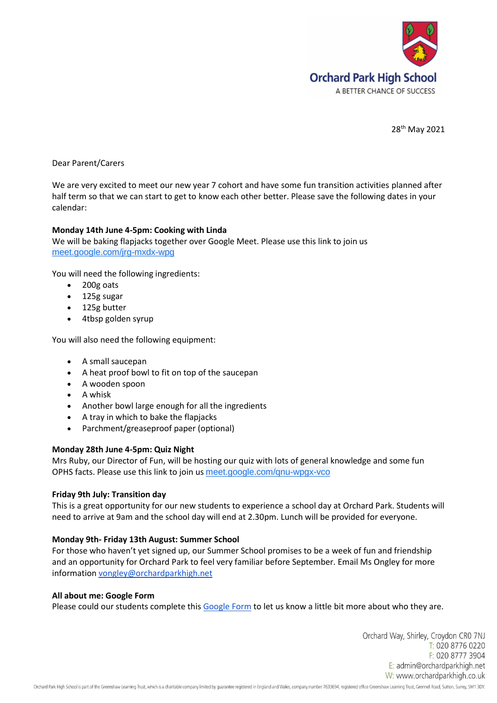

28th May 2021

Dear Parent/Carers

We are very excited to meet our new year 7 cohort and have some fun transition activities planned after half term so that we can start to get to know each other better. Please save the following dates in your calendar:

# **Monday 14th June 4-5pm: Cooking with Linda**

We will be baking flapjacks together over Google Meet. Please use this link to join us [meet.google.com/jrg-mxdx-wpg](https://meet.google.com/jrg-mxdx-wpg?hs=122&authuser=0)

You will need the following ingredients:

- 200g oats
- 125g sugar
- 125g butter
- 4tbsp golden syrup

You will also need the following equipment:

- A small saucepan
- A heat proof bowl to fit on top of the saucepan
- A wooden spoon
- A whisk
- Another bowl large enough for all the ingredients
- A tray in which to bake the flapjacks
- Parchment/greaseproof paper (optional)

## **Monday 28th June 4-5pm: Quiz Night**

Mrs Ruby, our Director of Fun, will be hosting our quiz with lots of general knowledge and some fun OPHS facts. Please use this link to join us [meet.google.com/qnu-wpgx-vco](https://meet.google.com/qnu-wpgx-vco?hs=122&authuser=0)

## **Friday 9th July: Transition day**

This is a great opportunity for our new students to experience a school day at Orchard Park. Students will need to arrive at 9am and the school day will end at 2.30pm. Lunch will be provided for everyone.

## **Monday 9th- Friday 13th August: Summer School**

For those who haven't yet signed up, our Summer School promises to be a week of fun and friendship and an opportunity for Orchard Park to feel very familiar before September. Email Ms Ongley for more information [vongley@orchardparkhigh.net](mailto:vongley@orchardparkhigh.net)

## **All about me: Google Form**

Please could our students complete this [Google Form](https://forms.gle/npnJvz2d4dWZoNva7) to let us know a little bit more about who they are.

Orchard Way, Shirley, Croydon CRO 7NJ T: 020 8776 0220 F: 020 8777 3904 E: admin@orchardparkhigh.net W: www.orchardparkhigh.co.uk